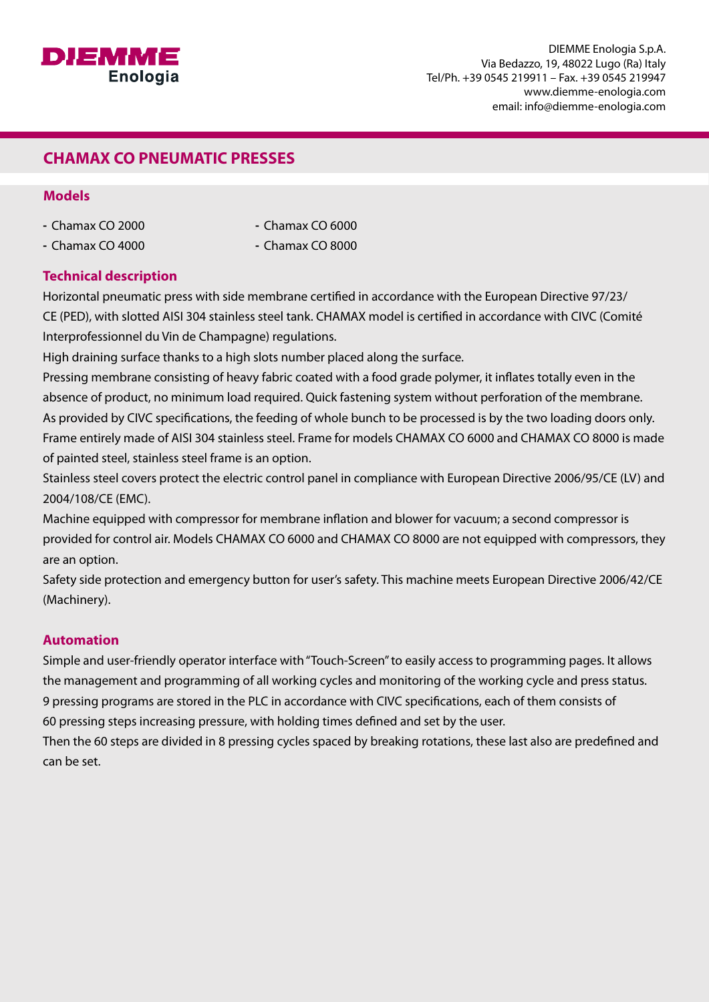

## **CHAMAX CO PNEUMATIC PRESSES**

#### **Models**

- Chamax CO 2000
- Chamax CO 6000
- $-$  Chamax CO 4000

 $-$  Chamax CO 8000

### **Technical description**

Horizontal pneumatic press with side membrane certified in accordance with the European Directive 97/23/ CE (PED), with slotted AISI 304 stainless steel tank. CHAMAX model is certified in accordance with CIVC (Comité Interprofessionnel du Vin de Champagne) regulations.

High draining surface thanks to a high slots number placed along the surface.

Pressing membrane consisting of heavy fabric coated with a food grade polymer, it inflates totally even in the absence of product, no minimum load required. Quick fastening system without perforation of the membrane. As provided by CIVC specifications, the feeding of whole bunch to be processed is by the two loading doors only. Frame entirely made of AISI 304 stainless steel. Frame for models CHAMAX CO 6000 and CHAMAX CO 8000 is made of painted steel, stainless steel frame is an option.

Stainless steel covers protect the electric control panel in compliance with European Directive 2006/95/CE (LV) and 2004/108/CE (EMC).

Machine equipped with compressor for membrane inflation and blower for vacuum; a second compressor is provided for control air. Models CHAMAX CO 6000 and CHAMAX CO 8000 are not equipped with compressors, they are an option.

Safety side protection and emergency button for user's safety. This machine meets European Directive 2006/42/CE (Machinery).

### **Automation**

Simple and user-friendly operator interface with "Touch-Screen" to easily access to programming pages. It allows the management and programming of all working cycles and monitoring of the working cycle and press status. 9 pressing programs are stored in the PLC in accordance with CIVC specifications, each of them consists of 60 pressing steps increasing pressure, with holding times defined and set by the user.

Then the 60 steps are divided in 8 pressing cycles spaced by breaking rotations, these last also are predefined and can be set.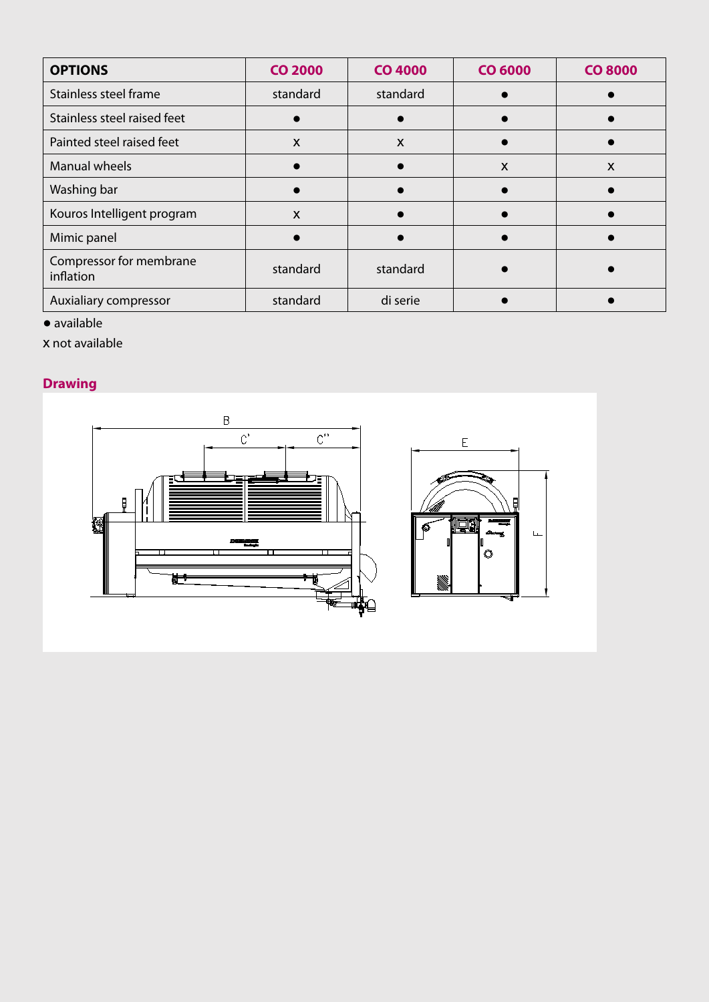| <b>OPTIONS</b>                       | <b>CO 2000</b>            | <b>CO 4000</b>            | <b>CO 6000</b> | <b>CO 8000</b> |
|--------------------------------------|---------------------------|---------------------------|----------------|----------------|
| Stainless steel frame                | standard                  | standard                  |                |                |
| Stainless steel raised feet          |                           |                           |                |                |
| Painted steel raised feet            | $\boldsymbol{\mathsf{X}}$ | $\boldsymbol{\mathsf{X}}$ |                |                |
| <b>Manual wheels</b>                 |                           |                           | X              | X              |
| Washing bar                          |                           |                           |                |                |
| Kouros Intelligent program           | $\boldsymbol{\mathsf{X}}$ |                           |                |                |
| Mimic panel                          |                           |                           |                |                |
| Compressor for membrane<br>inflation | standard                  | standard                  |                |                |
| Auxialiary compressor                | standard                  | di serie                  |                |                |

 $\bar{\mathbf{L}}$ 

● available

x not available

# **Drawing**